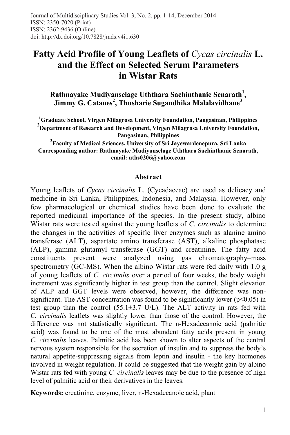# **Fatty Acid Profile of Young Leaflets of** *Cycas circinalis* **L. and the Effect on Selected Serum Parameters in Wistar Rats**

**Rathnayake Mudiyanselage Uththara Sachinthanie Senarath<sup>1</sup> , Jimmy G. Catanes<sup>2</sup> , Thusharie Sugandhika Malalavidhane 3**

**1 Graduate School, Virgen Milagrosa University Foundation, Pangasinan, Philippines 2 Department of Research and Development, Virgen Milagrosa University Foundation, Pangasinan, Philippines** 

**3 Faculty of Medical Sciences, University of Sri Jayewardenepura, Sri Lanka Corresponding author: Rathnayake Mudiyanselage Uththara Sachinthanie Senarath, email: uths0206@yahoo.com**

#### **Abstract**

Young leaflets of *Cycas circinalis* L. (Cycadaceae) are used as delicacy and medicine in Sri Lanka, Philippines, Indonesia, and Malaysia. However, only few pharmacological or chemical studies have been done to evaluate the reported medicinal importance of the species. In the present study, albino Wistar rats were tested against the young leaflets of *C. circinalis* to determine the changes in the activities of specific liver enzymes such as alanine amino transferase (ALT), aspartate amino transferase (AST), alkaline phosphatase (ALP), gamma glutamyl transferase (GGT) and creatinine. The fatty acid constituents present were analyzed using gas chromatography–mass spectrometry (GC-MS). When the albino Wistar rats were fed daily with 1.0 g of young leaflets of *C. circinalis* over a period of four weeks, the body weight increment was significantly higher in test group than the control. Slight elevation of ALP and GGT levels were observed, however, the difference was nonsignificant. The AST concentration was found to be significantly lower ( $p \le 0.05$ ) in test group than the control  $(55.1\pm3.7 \text{ U/L})$ . The ALT activity in rats fed with *C. circinalis* leaflets was slightly lower than those of the control. However, the difference was not statistically significant. The n-Hexadecanoic acid (palmitic acid) was found to be one of the most abundent fatty acids present in young *C. circinalis* leaves. Palmitic acid has been shown to alter aspects of the central nervous system responsible for the secretion of insulin and to suppress the body's natural appetite-suppressing signals from leptin and insulin - the key hormones involved in weight regulation. It could be suggested that the weight gain by albino Wistar rats fed with young *C. circinalis* leaves may be due to the presence of high level of palmitic acid or their derivatives in the leaves.

**Keywords:** creatinine, enzyme, liver, n-Hexadecanoic acid, plant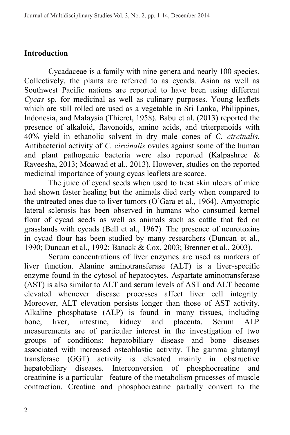# **Introduction**

Cycadaceae is a family with nine genera and nearly 100 species. Collectively, the plants are referred to as cycads. Asian as well as Southwest Pacific nations are reported to have been using different *Cycas* sp. for medicinal as well as culinary purposes. Young leaflets which are still rolled are used as a vegetable in Sri Lanka, Philippines, Indonesia, and Malaysia (Thieret, 1958). Babu et al. (2013) reported the presence of alkaloid, flavonoids, amino acids, and triterpenoids with 40% yield in ethanolic solvent in dry male cones of *C. circinalis.*  Antibacterial activity of *C. circinalis* ovules against some of the human and plant pathogenic bacteria were also reported (Kalpashree & Raveesha, 2013; Moawad et al., 2013). However, studies on the reported medicinal importance of young cycas leaflets are scarce.

The juice of cycad seeds when used to treat skin ulcers of mice had shown faster healing but the animals died early when compared to the untreated ones due to liver tumors (O'Gara et al., 1964). Amyotropic lateral sclerosis has been observed in humans who consumed kernel flour of cycad seeds as well as animals such as cattle that fed on grasslands with cycads (Bell et al., 1967). The presence of neurotoxins in cycad flour has been studied by many researchers (Duncan et al., 1990; Duncan et al., 1992; Banack & Cox, 2003; Brenner et al., 2003).

Serum concentrations of liver enzymes are used as markers of liver function. Alanine aminotransferase (ALT) is a liver-specific enzyme found in the cytosol of hepatocytes. Aspartate aminotransferase (AST) is also similar to ALT and serum levels of AST and ALT become elevated whenever disease processes affect liver cell integrity. Moreover, ALT elevation persists longer than those of AST activity. Alkaline phosphatase (ALP) is found in many tissues, including bone, liver, intestine, kidney and placenta. Serum ALP measurements are of particular interest in the investigation of two groups of conditions: hepatobiliary disease and bone diseases associated with increased osteoblastic activity. The gamma glutamyl<br>transferase (GGT) activity is elevated mainly in obstructive activity is elevated mainly in obstructive hepatobiliary diseases. Interconversion of phosphocreatine and creatinine is a particular feature of the metabolism processes of muscle contraction. Creatine and phosphocreatine partially convert to the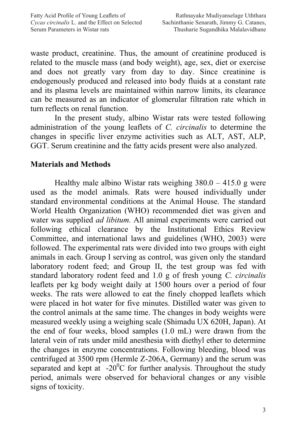waste product, creatinine. Thus, the amount of creatinine produced is related to the muscle mass (and body weight), age, sex, diet or exercise and does not greatly vary from day to day. Since creatinine is endogenously produced and released into body fluids at a constant rate and its plasma levels are maintained within narrow limits, its clearance can be measured as an indicator of glomerular filtration rate which in turn reflects on renal function.

In the present study, albino Wistar rats were tested following administration of the young leaflets of *C. circinalis* to determine the changes in specific liver enzyme activities such as ALT, AST, ALP, GGT. Serum creatinine and the fatty acids present were also analyzed.

# **Materials and Methods**

Healthy male albino Wistar rats weighing  $380.0 - 415.0$  g were used as the model animals. Rats were housed individually under standard environmental conditions at the Animal House. The standard World Health Organization (WHO) recommended diet was given and water was supplied *ad libitum.* All animal experiments were carried out following ethical clearance by the Institutional Ethics Review Committee, and international laws and guidelines (WHO, 2003) were followed. The experimental rats were divided into two groups with eight animals in each. Group I serving as control, was given only the standard laboratory rodent feed; and Group II, the test group was fed with standard laboratory rodent feed and 1.0 g of fresh young *C. circinalis* leaflets per kg body weight daily at 1500 hours over a period of four weeks. The rats were allowed to eat the finely chopped leaflets which were placed in hot water for five minutes. Distilled water was given to the control animals at the same time. The changes in body weights were measured weekly using a weighing scale (Shimadu UX 620H, Japan). At the end of four weeks, blood samples (1.0 mL) were drawn from the lateral vein of rats under mild anesthesia with diethyl ether to determine the changes in enzyme concentrations. Following bleeding, blood was centrifuged at 3500 rpm (Hermle Z-206A, Germany) and the serum was separated and kept at  $-20^{\circ}$ C for further analysis. Throughout the study period, animals were observed for behavioral changes or any visible signs of toxicity.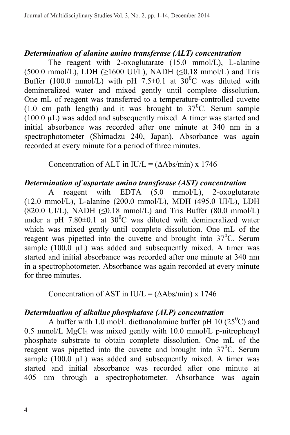#### *Determination of alanine amino transferase (ALT) concentration*

The reagent with 2-oxoglutarate (15.0 mmol/L), L-alanine  $(500.0 \text{ mmol/L})$ , LDH ( $\geq 1600 \text{ UJ/L}$ ), NADH ( $\leq 0.18 \text{ mmol/L}$ ) and Tris Buffer (100.0 mmol/L) with pH 7.5 $\pm$ 0.1 at 30<sup>o</sup>C was diluted with demineralized water and mixed gently until complete dissolution. One mL of reagent was transferred to a temperature-controlled cuvette  $(1.0 \text{ cm path length})$  and it was brought to  $37^{\circ}$ C. Serum sample (100.0 µL) was added and subsequently mixed. A timer was started and initial absorbance was recorded after one minute at 340 nm in a spectrophotometer (Shimadzu 240, Japan). Absorbance was again recorded at every minute for a period of three minutes.

Concentration of ALT in IU/L =  $(∆Abs/min)$  x 1746

#### *Determination of aspartate amino transferase (AST) concentration*

A reagent with EDTA (5.0 mmol/L), 2-oxoglutarate (12.0 mmol/L), L-alanine (200.0 mmol/L), MDH (495.0 UI/L), LDH  $(820.0 \text{ UJ/L})$ , NADH  $(\leq 0.18 \text{ mmol/L})$  and Tris Buffer  $(80.0 \text{ mmol/L})$ under a pH 7.80 $\pm$ 0.1 at 30<sup>°</sup>C was diluted with demineralized water which was mixed gently until complete dissolution. One mL of the reagent was pipetted into the cuvette and brought into  $37^{\circ}$ C. Serum sample  $(100.0 \mu L)$  was added and subsequently mixed. A timer was started and initial absorbance was recorded after one minute at 340 nm in a spectrophotometer. Absorbance was again recorded at every minute for three minutes.

Concentration of AST in IU/L =  $(∆Abs/min) \times 1746$ 

#### *Determination of alkaline phosphatase (ALP) concentration*

A buffer with 1.0 mol/L diethanolamine buffer pH 10  $(25^{\circ}$ C) and  $0.5$  mmol/L MgCl<sub>2</sub> was mixed gently with 10.0 mmol/L p-nitrophenyl phosphate substrate to obtain complete dissolution. One mL of the reagent was pipetted into the cuvette and brought into  $37^{\circ}$ C. Serum sample  $(100.0 \mu L)$  was added and subsequently mixed. A timer was started and initial absorbance was recorded after one minute at 405 nm through a spectrophotometer. Absorbance was again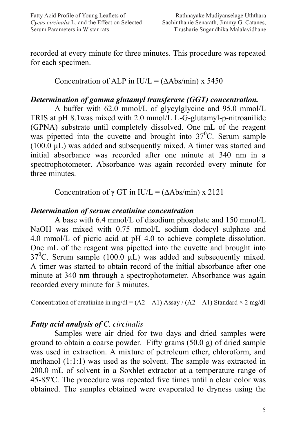recorded at every minute for three minutes. This procedure was repeated for each specimen.

Concentration of ALP in IU/L =  $(∆Abs/min)$  x 5450

# *Determination of gamma glutamyl transferase (GGT) concentration.*

A buffer with 62.0 mmol/L of glycylglycine and 95.0 mmol/L TRIS at pH 8.1was mixed with 2.0 mmol/L L-G-glutamyl-p-nitroanilide (GPNA) substrate until completely dissolved. One mL of the reagent was pipetted into the cuvette and brought into  $37^{\circ}$ C. Serum sample (100.0 µL) was added and subsequently mixed. A timer was started and initial absorbance was recorded after one minute at 340 nm in a spectrophotometer. Absorbance was again recorded every minute for three minutes.

Concentration of  $\gamma$  GT in IU/L = ( $\Delta$ Abs/min) x 2121

#### *Determination of serum creatinine concentration*

A base with 6.4 mmol/L of disodium phosphate and 150 mmol/L NaOH was mixed with 0.75 mmol/L sodium dodecyl sulphate and 4.0 mmol/L of picric acid at pH 4.0 to achieve complete dissolution. One mL of the reagent was pipetted into the cuvette and brought into  $37^0$ C. Serum sample (100.0  $\mu$ L) was added and subsequently mixed. A timer was started to obtain record of the initial absorbance after one minute at 340 nm through a spectrophotometer. Absorbance was again recorded every minute for 3 minutes.

Concentration of creatinine in mg/dl =  $(A2 - A1)$  Assay /  $(A2 - A1)$  Standard  $\times 2$  mg/dl

# *Fatty acid analysis of C. circinalis*

Samples were air dried for two days and dried samples were ground to obtain a coarse powder. Fifty grams (50.0 g) of dried sample was used in extraction. A mixture of petroleum ether, chloroform, and methanol (1:1:1) was used as the solvent. The sample was extracted in 200.0 mL of solvent in a Soxhlet extractor at a temperature range of 45-85ºC. The procedure was repeated five times until a clear color was obtained. The samples obtained were evaporated to dryness using the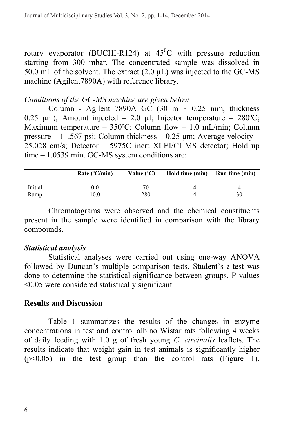rotary evaporator (BUCHI-R124) at  $45^{\circ}$ C with pressure reduction starting from 300 mbar. The concentrated sample was dissolved in 50.0 mL of the solvent. The extract  $(2.0 \mu L)$  was injected to the GC-MS machine (Agilent7890A) with reference library.

#### *Conditions of the GC-MS machine are given below:*

Column - Agilent 7890A GC (30 m  $\times$  0.25 mm, thickness 0.25 μm); Amount injected – 2.0 μl; Injector temperature –  $280^{\circ}$ C; Maximum temperature –  $350^{\circ}$ C; Column flow – 1.0 mL/min; Column pressure – 11.567 psi; Column thickness – 0.25  $\mu$ m; Average velocity – 25.028 cm/s; Detector – 5975C inert XLEI/CI MS detector; Hold up time – 1.0539 min. GC-MS system conditions are:

|         | Rate $(^{\circ}C/min)$ | Value $(^{\circ}C)$ | Hold time (min) | Run time (min) |
|---------|------------------------|---------------------|-----------------|----------------|
|         |                        |                     |                 |                |
| Initial | $0.0\,$                | 76                  |                 |                |
| Ramp    | 0.0                    | 280                 |                 |                |

Chromatograms were observed and the chemical constituents present in the sample were identified in comparison with the library compounds.

#### *Statistical analysis*

Statistical analyses were carried out using one-way ANOVA followed by Duncan's multiple comparison tests. Student's *t* test was done to determine the statistical significance between groups. P values <0.05 were considered statistically significant.

#### **Results and Discussion**

Table 1 summarizes the results of the changes in enzyme concentrations in test and control albino Wistar rats following 4 weeks of daily feeding with 1.0 g of fresh young *C. circinalis* leaflets. The results indicate that weight gain in test animals is significantly higher  $(p<0.05)$  in the test group than the control rats (Figure 1).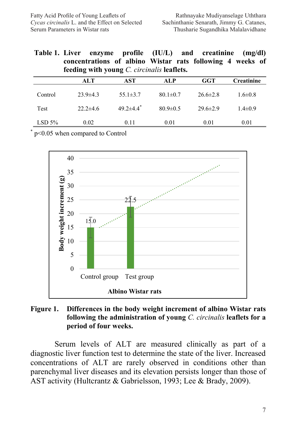**Table 1. Liver enzyme profile (IU/L) and creatinine (mg/dl) concentrations of albino Wistar rats following 4 weeks of feeding with young** *C. circinalis* **leaflets.**

|         | ALT            | AST                         | ALP            | GGT            | <b>Creatinine</b> |
|---------|----------------|-----------------------------|----------------|----------------|-------------------|
| Control | $23.9 \pm 4.3$ | $55.1 \pm 3.7$              | $80.1 \pm 0.7$ | $26.6 \pm 2.8$ | $1.6 \pm 0.8$     |
| Test    | $22.2 \pm 4.6$ | $49.2 \pm 4.4$ <sup>*</sup> | $80.9 \pm 0.5$ | $29.6 \pm 2.9$ | $1.4\pm0.9$       |
| LSD 5%  | 0.02           | 0.11                        | 0.01           | 0.01           | 0.01              |

\* p<0.05 when compared to Control



#### **Figure 1. Differences in the body weight increment of albino Wistar rats following the administration of young** *C. circinalis* **leaflets for a period of four weeks.**

Serum levels of ALT are measured clinically as part of a diagnostic liver function test to determine the state of the liver. Increased concentrations of ALT are rarely observed in conditions other than parenchymal liver diseases and its elevation persists longer than those of AST activity (Hultcrantz & Gabrielsson, 1993; Lee & Brady, 2009).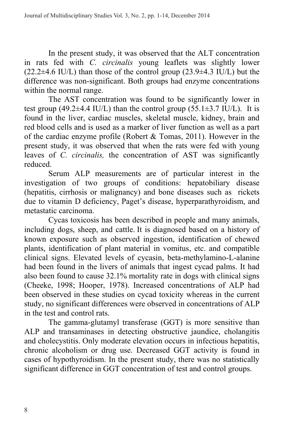In the present study, it was observed that the ALT concentration in rats fed with *C. circinalis* young leaflets was slightly lower  $(22.2\pm4.6 \text{ IU/L})$  than those of the control group  $(23.9\pm4.3 \text{ IU/L})$  but the difference was non-significant. Both groups had enzyme concentrations within the normal range.

The AST concentration was found to be significantly lower in test group (49.2 $\pm$ 4.4 IU/L) than the control group (55.1 $\pm$ 3.7 IU/L). It is found in the liver, cardiac muscles, skeletal muscle, kidney, brain and red blood cells and is used as a marker of liver function as well as a part of the cardiac enzyme profile (Robert & Tomas, 2011). However in the present study, it was observed that when the rats were fed with young leaves of *C. circinalis,* the concentration of AST was significantly reduced.

Serum ALP measurements are of particular interest in the investigation of two groups of conditions: hepatobiliary disease (hepatitis, cirrhosis or malignancy) and bone diseases such as rickets due to vitamin D deficiency, Paget's disease, hyperparathyroidism, and metastatic carcinoma.

Cycas toxicosis has been described in people and many animals, including dogs, sheep, and cattle. It is diagnosed based on a history of known exposure such as observed ingestion, identification of chewed plants, identification of plant material in vomitus, etc. and compatible clinical signs. Elevated levels of cycasin, beta-methylamino-L-alanine had been found in the livers of animals that ingest cycad palms. It had also been found to cause 32.1% mortality rate in dogs with clinical signs (Cheeke, 1998; Hooper, 1978). Increased concentrations of ALP had been observed in these studies on cycad toxicity whereas in the current study, no significant differences were observed in concentrations of ALP in the test and control rats.

The gamma-glutamyl transferase (GGT) is more sensitive than ALP and transaminases in detecting obstructive jaundice, cholangitis and cholecystitis. Only moderate elevation occurs in infectious hepatitis, chronic alcoholism or drug use. Decreased GGT activity is found in cases of hypothyroidism. In the present study, there was no statistically significant difference in GGT concentration of test and control groups.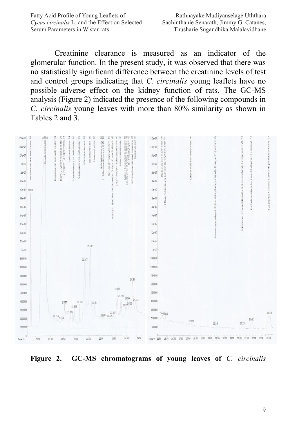Fatty Acid Profile of Young Leaflets of *Cycas circinalis* L. and the Effect on Selected Serum Parameters in Wistar rats

Creatinine clearance is measured as an indicator of the glomerular function. In the present study, it was observed that there was no statistically significant difference between the creatinine levels of test and control groups indicating that *C. circinalis* young leaflets have no possible adverse effect on the kidney function of rats. The GC-MS analysis (Figure 2) indicated the presence of the following compounds in *C. circinalis* young leaves with more than 80% similarity as shown in Tables 2 and 3.



**Figure 2. GC-MS chromatograms of young leaves of** *C. circinalis*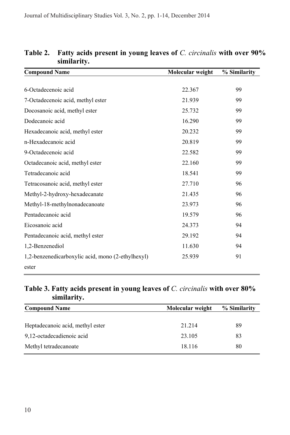| <b>Compound Name</b>                              | Molecular weight | % Similarity |
|---------------------------------------------------|------------------|--------------|
|                                                   |                  |              |
| 6-Octadecenoic acid                               | 22.367           | 99           |
| 7-Octadecenoic acid, methyl ester                 | 21.939           | 99           |
| Docosanoic acid, methyl ester                     | 25.732           | 99           |
| Dodecanoic acid                                   | 16.290           | 99           |
| Hexadecanoic acid, methyl ester                   | 20.232           | 99           |
| n-Hexadecanoic acid                               | 20.819           | 99           |
| 9-Octadecenoic acid                               | 22.582           | 99           |
| Octadecanoic acid, methyl ester                   | 22.160           | 99           |
| Tetradecanoic acid                                | 18.541           | 99           |
| Tetracosanoic acid, methyl ester                  | 27.710           | 96           |
| Methyl-2-hydroxy-hexadecanate                     | 21.435           | 96           |
| Methyl-18-methylnonadecanoate                     | 23.973           | 96           |
| Pentadecanoic acid                                | 19.579           | 96           |
| Eicosanoic acid                                   | 24.373           | 94           |
| Pentadecanoic acid, methyl ester                  | 29.192           | 94           |
| 1,2-Benzenediol                                   | 11.630           | 94           |
| 1,2-benzenedicarboxylic acid, mono (2-ethylhexyl) | 25.939           | 91           |
| ester                                             |                  |              |

**Table 2. Fatty acids present in young leaves of** *C. circinalis* **with over 90% similarity.**

#### **Table 3. Fatty acids present in young leaves of** *C. circinalis* **with over 80% similarity.**

| <b>Compound Name</b>             | Molecular weight | % Similarity |
|----------------------------------|------------------|--------------|
|                                  |                  |              |
| Heptadecanoic acid, methyl ester | 21.214           | 89           |
| 9,12-octadecadienoic acid        | 23.105           | 83           |
| Methyl tetradecanoate            | 18.116           | 80           |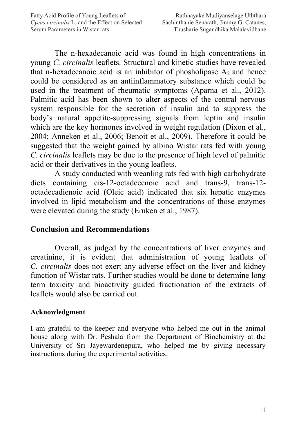The n-hexadecanoic acid was found in high concentrations in young *C. circinalis* leaflets. Structural and kinetic studies have revealed that n-hexadecanoic acid is an inhibitor of phosholipase  $A_2$  and hence could be considered as an antiinflammatory substance which could be used in the treatment of rheumatic symptoms (Aparna et al., 2012). Palmitic acid has been shown to alter aspects of the central nervous system responsible for the secretion of insulin and to suppress the body's natural appetite-suppressing signals from leptin and insulin which are the key hormones involved in weight regulation (Dixon et al., 2004; Anneken et al., 2006; Benoit et al., 2009). Therefore it could be suggested that the weight gained by albino Wistar rats fed with young *C. circinalis* leaflets may be due to the presence of high level of palmitic acid or their derivatives in the young leaflets.

A study conducted with weanling rats fed with high carbohydrate diets containing cis-12-octadecenoic acid and trans-9, trans-12 octadecadienoic acid (Oleic acid) indicated that six hepatic enzymes involved in lipid metabolism and the concentrations of those enzymes were elevated during the study (Ernken et al., 1987).

# **Conclusion and Recommendations**

Overall, as judged by the concentrations of liver enzymes and creatinine, it is evident that administration of young leaflets of *C. circinalis* does not exert any adverse effect on the liver and kidney function of Wistar rats. Further studies would be done to determine long term toxicity and bioactivity guided fractionation of the extracts of leaflets would also be carried out.

# **Acknowledgment**

I am grateful to the keeper and everyone who helped me out in the animal house along with Dr. Peshala from the Department of Biochemistry at the University of Sri Jayewardenepura, who helped me by giving necessary instructions during the experimental activities.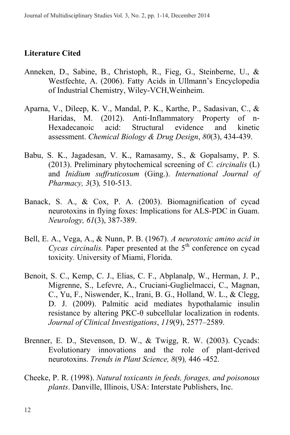# **Literature Cited**

- Anneken, D., Sabine, B., Christoph, R., Fieg, G., Steinberne, U., & Westfechte, A. (2006). Fatty Acids in Ullmann's Encyclopedia of Industrial Chemistry, Wiley-VCH,Weinheim.
- Aparna, V., Dileep, K. V., Mandal, P. K., Karthe, P., Sadasivan, C., & Haridas, M. (2012). Anti-Inflammatory Property of n-<br>Hexadecanoic acid: Structural evidence and kinetic Hexadecanoic assessment. *Chemical Biology & Drug Design*, *80*(3), 434-439.
- Babu, S. K., Jagadesan, V. K., Ramasamy, S., & Gopalsamy, P. S. (2013). Preliminary phytochemical screening of *C. circinalis* (L) and *Inidium suffruticosum* (Ging.). *International Journal of Pharmacy, 3*(3)*,* 510-513.
- Banack, S. A., & Cox, P. A. (2003). Biomagnification of cycad neurotoxins in flying foxes: Implications for ALS-PDC in Guam. *Neurology, 61*(3), 387-389.
- Bell, E. A., Vega, A., & Nunn, P. B. (1967). *A neurotoxic amino acid in Cycas circinalis.* Paper presented at the 5<sup>th</sup> conference on cycad toxicity*.* University of Miami, Florida.
- Benoit, S. C., Kemp, C. J., Elias, C. F., Abplanalp, W., Herman, J. P., Migrenne, S., Lefevre, A., Cruciani-Guglielmacci, C., Magnan, C., Yu, F., Niswender, K., Irani, B. G., Holland, W. L., & Clegg, D. J. (2009). Palmitic acid mediates hypothalamic insulin resistance by altering PKC-θ subcellular localization in rodents. *Journal of Clinical Investigations*, *119*(9), 2577–2589.
- Brenner, E. D., Stevenson, D. W., & Twigg, R. W. (2003). Cycads: Evolutionary innovations and the role of plant-derived neurotoxins. *Trends in Plant Science, 8*(9)*,* 446 -452.
- Cheeke, P. R. (1998). *Natural toxicants in feeds, forages, and poisonous plants*. Danville, Illinois, USA: Interstate Publishers, Inc.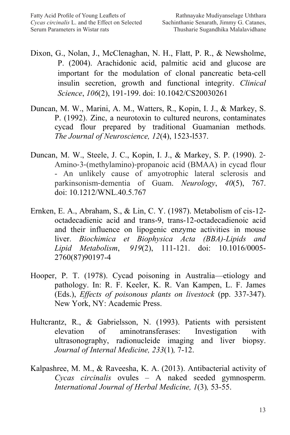- Dixon, G., Nolan, J., McClenaghan, N. H., Flatt, P. R., & Newsholme, P. (2004). Arachidonic acid, palmitic acid and glucose are important for the modulation of clonal pancreatic beta-cell insulin secretion, growth and functional integrity. *Clinical Science*, *106*(2), 191-199. doi: 10.1042/CS20030261
- Duncan, M. W., Marini, A. M., Watters, R., Kopin, I. J., & Markey, S. P. (1992). Zinc, a neurotoxin to cultured neurons, contaminates cycad flour prepared by traditional Guamanian methods. *The Journal of Neuroscience, 12*(4), 1523-l537.
- Duncan, M. W., Steele, J. C., Kopin, I. J., & Markey, S. P. (1990). 2‐ Amino‐3‐(methylamino)‐propanoic acid (BMAA) in cycad flour - An unlikely cause of amyotrophic lateral sclerosis and parkinsonism‐dementia of Guam. *Neurology*, *40*(5), 767. doi: 10.1212/WNL.40.5.767
- Ernken, E. A., Abraham, S., & Lin, C. Y. (1987). Metabolism of cis-12 octadecadienic acid and trans-9, trans-12-octadecadienoic acid and their influence on lipogenic enzyme activities in mouse liver. *Biochimica et Biophysica Acta (BBA)-Lipids and Lipid Metabolism*, *919*(2), 111-121. doi: 10.1016/0005- 2760(87)90197-4
- Hooper, P. T. (1978). Cycad poisoning in Australia—etiology and pathology. In: R. F. Keeler, K. R. Van Kampen, L. F. James (Eds.), *Effects of poisonous plants on livestock* (pp. 337-347). New York, NY: Academic Press.
- Hultcrantz, R., & Gabrielsson, N. (1993). Patients with persistent elevation of aminotransferases: Investigation with ultrasonography, radionucleide imaging and liver biopsy. *Journal of Internal Medicine, 233*(1)*,* 7-12.
- Kalpashree, M. M., & Raveesha, K. A. (2013). Antibacterial activity of *Cycas circinalis* ovules – A naked seeded gymnosperm. *International Journal of Herbal Medicine, 1*(3)*,* 53-55.